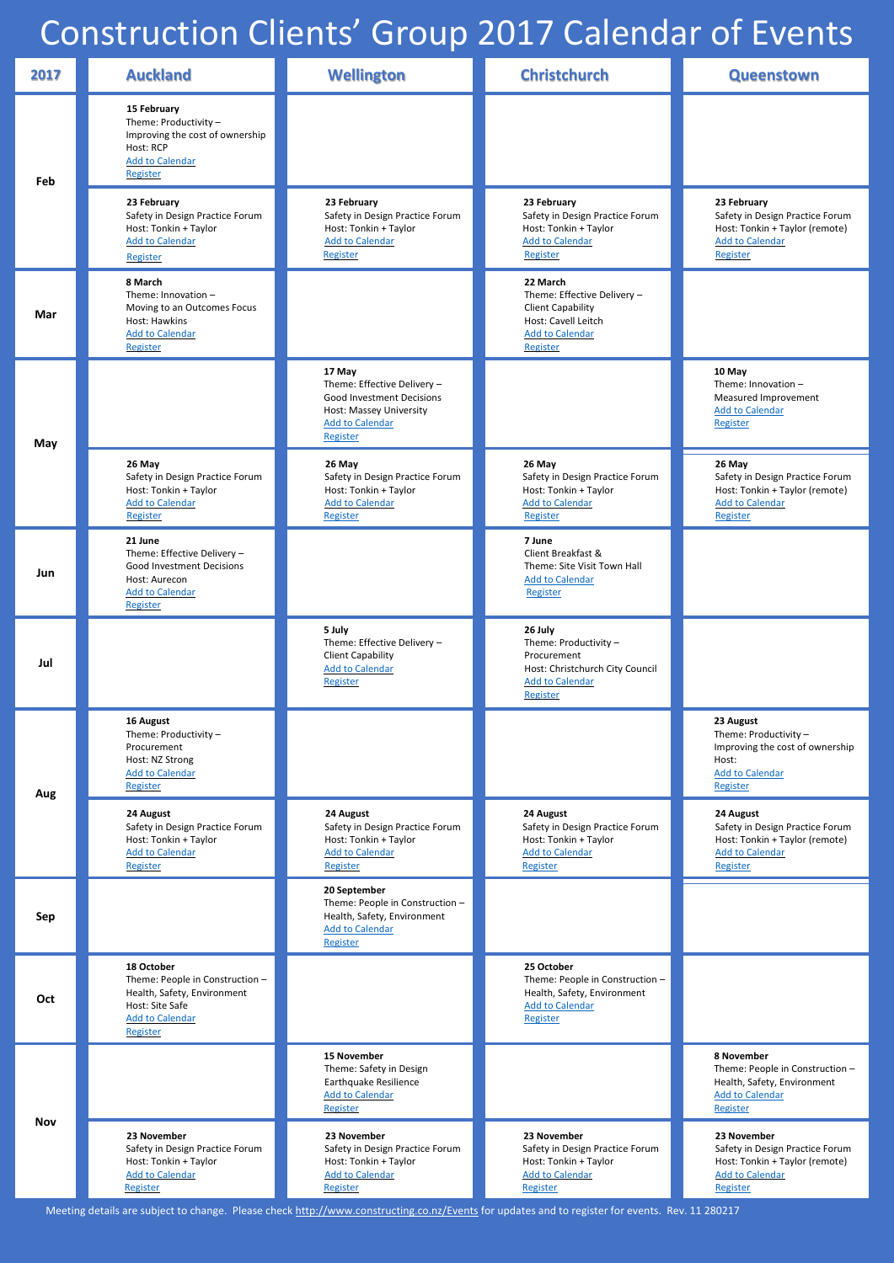## Construction Clients' Group 2017 Calendar of Events

| 2017 | <b>Auckland</b>                                                                                                                   | <b>Wellington</b>                                                                                                                          | <b>Christchurch</b>                                                                                                              | <b>Queenstown</b>                                                                                                      |
|------|-----------------------------------------------------------------------------------------------------------------------------------|--------------------------------------------------------------------------------------------------------------------------------------------|----------------------------------------------------------------------------------------------------------------------------------|------------------------------------------------------------------------------------------------------------------------|
| Feb  | 15 February<br>Theme: Productivity -<br>Improving the cost of ownership<br>Host: RCP<br><b>Add to Calendar</b><br>Register        |                                                                                                                                            |                                                                                                                                  |                                                                                                                        |
|      | 23 February<br>Safety in Design Practice Forum<br>Host: Tonkin + Taylor<br><b>Add to Calendar</b><br>Register                     | 23 February<br>Safety in Design Practice Forum<br>Host: Tonkin + Taylor<br><b>Add to Calendar</b><br>Register                              | 23 February<br>Safety in Design Practice Forum<br>Host: Tonkin + Taylor<br><b>Add to Calendar</b><br>Register                    | 23 February<br>Safety in Design Practice Forum<br>Host: Tonkin + Taylor (remote)<br><b>Add to Calendar</b><br>Register |
| Mar  | 8 March<br>Theme: Innovation $-$<br>Moving to an Outcomes Focus<br>Host: Hawkins<br><b>Add to Calendar</b><br>Register            |                                                                                                                                            | 22 March<br>Theme: Effective Delivery -<br><b>Client Capability</b><br>Host: Cavell Leitch<br><b>Add to Calendar</b><br>Register |                                                                                                                        |
| May  |                                                                                                                                   | 17 May<br>Theme: Effective Delivery -<br><b>Good Investment Decisions</b><br>Host: Massey University<br><b>Add to Calendar</b><br>Register |                                                                                                                                  | 10 May<br>Theme: Innovation -<br>Measured Improvement<br><b>Add to Calendar</b><br>Register                            |
|      | 26 May<br>Safety in Design Practice Forum<br>Host: Tonkin + Taylor<br><b>Add to Calendar</b><br>Register                          | 26 May<br>Safety in Design Practice Forum<br>Host: Tonkin + Taylor<br><b>Add to Calendar</b><br>Register                                   | 26 May<br>Safety in Design Practice Forum<br>Host: Tonkin + Taylor<br><b>Add to Calendar</b><br>Register                         | 26 May<br>Safety in Design Practice Forum<br>Host: Tonkin + Taylor (remote)<br><b>Add to Calendar</b><br>Register      |
| Jun  | 21 June<br>Theme: Effective Delivery -<br><b>Good Investment Decisions</b><br>Host: Aurecon<br><b>Add to Calendar</b><br>Register |                                                                                                                                            | 7 June<br>Client Breakfast &<br>Theme: Site Visit Town Hall<br><b>Add to Calendar</b><br>Register                                |                                                                                                                        |
| Jul  |                                                                                                                                   | 5 July<br>Theme: Effective Delivery -<br><b>Client Capability</b><br><b>Add to Calendar</b><br>Register                                    | 26 July<br>Theme: Productivity -<br>Procurement<br>Host: Christchurch City Council<br><b>Add to Calendar</b><br>Register         |                                                                                                                        |
| Aug  | 16 August<br>Theme: Productivity -<br>Procurement<br>Host: NZ Strong<br><b>Add to Calendar</b><br>Register                        |                                                                                                                                            |                                                                                                                                  | 23 August<br>Theme: Productivity -<br>Improving the cost of ownership<br>Host:<br><b>Add to Calendar</b><br>Register   |
|      | 24 August<br>Safety in Design Practice Forum<br>Host: Tonkin + Taylor<br><b>Add to Calendar</b><br>Register                       | 24 August<br>Safety in Design Practice Forum<br>Host: Tonkin + Taylor<br><b>Add to Calendar</b><br>Register                                | 24 August<br>Safety in Design Practice Forum<br>Host: Tonkin + Taylor<br><b>Add to Calendar</b><br>Register                      | 24 August<br>Safety in Design Practice Forum<br>Host: Tonkin + Taylor (remote)<br><b>Add to Calendar</b><br>Register   |
| Sep  |                                                                                                                                   | 20 September<br>Theme: People in Construction -<br>Health, Safety, Environment<br><b>Add to Calendar</b><br>Register                       |                                                                                                                                  |                                                                                                                        |

| Oct        | 18 October<br>Theme: People in Construction -<br>Health, Safety, Environment<br>Host: Site Safe<br><b>Add to Calendar</b><br>Register |                                                                                                               | 25 October<br>Theme: People in Construction -<br>Health, Safety, Environment<br><b>Add to Calendar</b><br>Register |                                                                                                                        |
|------------|---------------------------------------------------------------------------------------------------------------------------------------|---------------------------------------------------------------------------------------------------------------|--------------------------------------------------------------------------------------------------------------------|------------------------------------------------------------------------------------------------------------------------|
|            |                                                                                                                                       | <b>15 November</b><br>Theme: Safety in Design<br>Earthquake Resilience<br><b>Add to Calendar</b><br>Register  |                                                                                                                    | 8 November<br>Theme: People in Construction -<br>Health, Safety, Environment<br><b>Add to Calendar</b><br>Register     |
| <b>Nov</b> | 23 November<br>Safety in Design Practice Forum<br>Host: Tonkin + Taylor<br><b>Add to Calendar</b><br>Register                         | 23 November<br>Safety in Design Practice Forum<br>Host: Tonkin + Taylor<br><b>Add to Calendar</b><br>Register | 23 November<br>Safety in Design Practice Forum<br>Host: Tonkin + Taylor<br><b>Add to Calendar</b><br>Register      | 23 November<br>Safety in Design Practice Forum<br>Host: Tonkin + Taylor (remote)<br><b>Add to Calendar</b><br>Register |

Meeting details are subject to change. Please check<http://www.constructing.co.nz/Events> for updates and to register for events. Rev. 11 280217